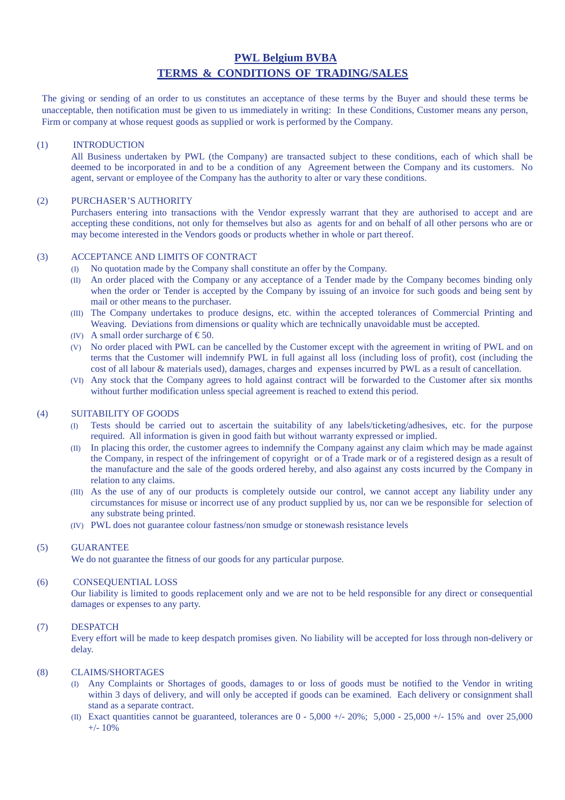# **PWL Belgium BVBA TERMS & CONDITIONS OF TRADING/SALES**

The giving or sending of an order to us constitutes an acceptance of these terms by the Buyer and should these terms be unacceptable, then notification must be given to us immediately in writing: In these Conditions, Customer means any person, Firm or company at whose request goods as supplied or work is performed by the Company.

## (1) INTRODUCTION

All Business undertaken by PWL (the Company) are transacted subject to these conditions, each of which shall be deemed to be incorporated in and to be a condition of any Agreement between the Company and its customers. No agent, servant or employee of the Company has the authority to alter or vary these conditions.

## (2) PURCHASER'S AUTHORITY

Purchasers entering into transactions with the Vendor expressly warrant that they are authorised to accept and are accepting these conditions, not only for themselves but also as agents for and on behalf of all other persons who are or may become interested in the Vendors goods or products whether in whole or part thereof.

# (3) ACCEPTANCE AND LIMITS OF CONTRACT

- (I) No quotation made by the Company shall constitute an offer by the Company.
- (II) An order placed with the Company or any acceptance of a Tender made by the Company becomes binding only when the order or Tender is accepted by the Company by issuing of an invoice for such goods and being sent by mail or other means to the purchaser.
- (III) The Company undertakes to produce designs, etc. within the accepted tolerances of Commercial Printing and Weaving. Deviations from dimensions or quality which are technically unavoidable must be accepted.
- (IV) A small order surcharge of  $\text{\textsterling}50$ .
- (V) No order placed with PWL can be cancelled by the Customer except with the agreement in writing of PWL and on terms that the Customer will indemnify PWL in full against all loss (including loss of profit), cost (including the cost of all labour & materials used), damages, charges and expenses incurred by PWL as a result of cancellation.
- (VI) Any stock that the Company agrees to hold against contract will be forwarded to the Customer after six months without further modification unless special agreement is reached to extend this period.

## (4) SUITABILITY OF GOODS

- (I) Tests should be carried out to ascertain the suitability of any labels/ticketing/adhesives, etc. for the purpose required. All information is given in good faith but without warranty expressed or implied.
- (II) In placing this order, the customer agrees to indemnify the Company against any claim which may be made against the Company, in respect of the infringement of copyright or of a Trade mark or of a registered design as a result of the manufacture and the sale of the goods ordered hereby, and also against any costs incurred by the Company in relation to any claims.
- (III) As the use of any of our products is completely outside our control, we cannot accept any liability under any circumstances for misuse or incorrect use of any product supplied by us, nor can we be responsible for selection of any substrate being printed.
- (IV) PWL does not guarantee colour fastness/non smudge or stonewash resistance levels

#### (5) GUARANTEE

We do not guarantee the fitness of our goods for any particular purpose.

## (6) CONSEQUENTIAL LOSS

Our liability is limited to goods replacement only and we are not to be held responsible for any direct or consequential damages or expenses to any party.

#### (7) DESPATCH

Every effort will be made to keep despatch promises given. No liability will be accepted for loss through non-delivery or delay.

## (8) CLAIMS/SHORTAGES

- (I) Any Complaints or Shortages of goods, damages to or loss of goods must be notified to the Vendor in writing within 3 days of delivery, and will only be accepted if goods can be examined. Each delivery or consignment shall stand as a separate contract.
- (II) Exact quantities cannot be guaranteed, tolerances are  $0 5{,}000 +1 20\%$ ; 5,000 25,000 +/- 15% and over 25,000  $+/- 10%$